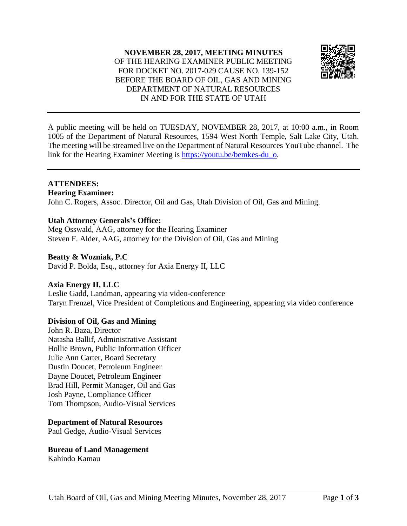#### **NOVEMBER 28, 2017, MEETING MINUTES** OF THE HEARING EXAMINER PUBLIC MEETING FOR DOCKET NO. 2017-029 CAUSE NO. 139-152 BEFORE THE BOARD OF OIL, GAS AND MINING DEPARTMENT OF NATURAL RESOURCES IN AND FOR THE STATE OF UTAH



A public meeting will be held on TUESDAY, NOVEMBER 28, 2017, at 10:00 a.m., in Room 1005 of the Department of Natural Resources, 1594 West North Temple, Salt Lake City, Utah. The meeting will be streamed live on the Department of Natural Resources YouTube channel. The link for the Hearing Examiner Meeting is [https://youtu.be/bemkes-du\\_o.](https://youtu.be/bemkes-du_o)

#### **ATTENDEES:**

**Hearing Examiner:** John C. Rogers, Assoc. Director, Oil and Gas, Utah Division of Oil, Gas and Mining.

## **Utah Attorney Generals's Office:**

Meg Osswald, AAG, attorney for the Hearing Examiner Steven F. Alder, AAG, attorney for the Division of Oil, Gas and Mining

## **Beatty & Wozniak, P.C**

David P. Bolda, Esq., attorney for Axia Energy II, LLC

## **Axia Energy II, LLC**

Leslie Gadd, Landman, appearing via video-conference Taryn Frenzel, Vice President of Completions and Engineering, appearing via video conference

# **Division of Oil, Gas and Mining**

John R. Baza, Director Natasha Ballif, Administrative Assistant Hollie Brown, Public Information Officer Julie Ann Carter, Board Secretary Dustin Doucet, Petroleum Engineer Dayne Doucet, Petroleum Engineer Brad Hill, Permit Manager, Oil and Gas Josh Payne, Compliance Officer Tom Thompson, Audio-Visual Services

## **Department of Natural Resources**

Paul Gedge, Audio-Visual Services

**Bureau of Land Management** Kahindo Kamau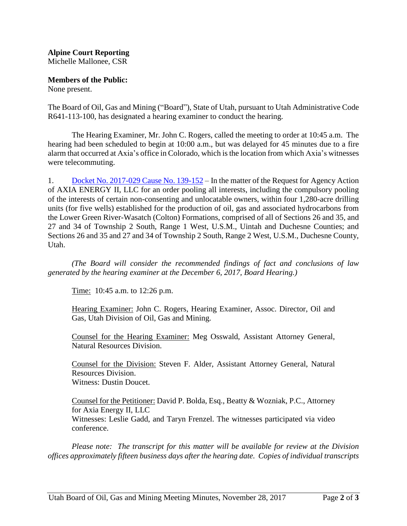#### **Alpine Court Reporting** Michelle Mallonee, CSR

**Members of the Public:**

None present.

The Board of Oil, Gas and Mining ("Board"), State of Utah, pursuant to Utah Administrative Code R641-113-100, has designated a hearing examiner to conduct the hearing.

The Hearing Examiner, Mr. John C. Rogers, called the meeting to order at 10:45 a.m. The hearing had been scheduled to begin at 10:00 a.m., but was delayed for 45 minutes due to a fire alarm that occurred at Axia's office in Colorado, which isthe location from which Axia's witnesses were telecommuting.

1. Docket No. [2017-029](http://ogm.utah.gov/amr/boardtemp/redesign/2017/11_Nov/Dockets/2017-029_139-152_Axia.php) Cause No. 139-152 – In the matter of the Request for Agency Action of AXIA ENERGY II, LLC for an order pooling all interests, including the compulsory pooling of the interests of certain non-consenting and unlocatable owners, within four 1,280-acre drilling units (for five wells) established for the production of oil, gas and associated hydrocarbons from the Lower Green River-Wasatch (Colton) Formations, comprised of all of Sections 26 and 35, and 27 and 34 of Township 2 South, Range 1 West, U.S.M., Uintah and Duchesne Counties; and Sections 26 and 35 and 27 and 34 of Township 2 South, Range 2 West, U.S.M., Duchesne County, Utah.

*(The Board will consider the recommended findings of fact and conclusions of law generated by the hearing examiner at the December 6, 2017, Board Hearing.)*

Time: 10:45 a.m. to 12:26 p.m.

Hearing Examiner: John C. Rogers, Hearing Examiner, Assoc. Director, Oil and Gas, Utah Division of Oil, Gas and Mining.

Counsel for the Hearing Examiner: Meg Osswald, Assistant Attorney General, Natural Resources Division.

Counsel for the Division: Steven F. Alder, Assistant Attorney General, Natural Resources Division. Witness: Dustin Doucet.

Counsel for the Petitioner: David P. Bolda, Esq., Beatty & Wozniak, P.C., Attorney for Axia Energy II, LLC Witnesses: Leslie Gadd, and Taryn Frenzel. The witnesses participated via video conference.

*Please note: The transcript for this matter will be available for review at the Division offices approximately fifteen business days after the hearing date. Copies of individual transcripts*